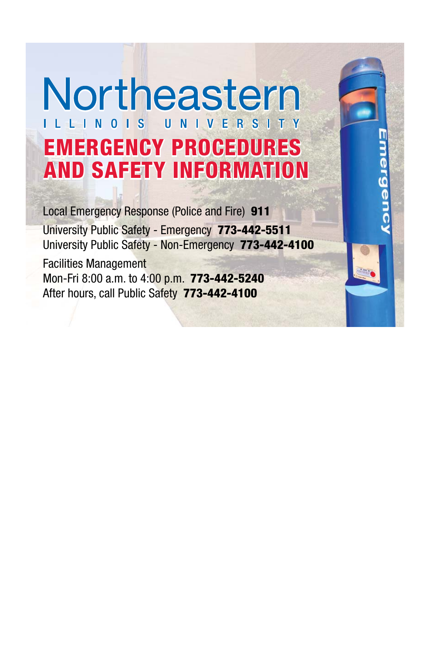# Northeastern ILLINOIS UNIVERSITY **EMERGENCY PROCEDURES AND SAFETY INFORMATION**

Local Emergency Response (Police and Fire) **911** University Public Safety - Emergency **773-442-5511** University Public Safety - Non-Emergency **773-442-4100**

Facilities Management Mon-Fri 8:00 a.m. to 4:00 p.m. **773-442-5240** After hours, call Public Safety **773-442-4100**

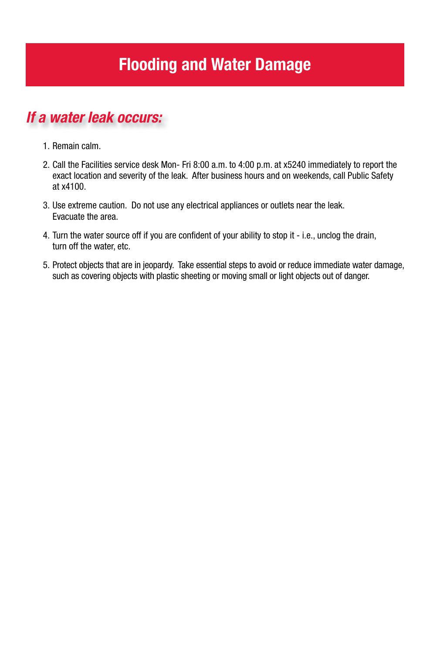# **Flooding and Water Damage**

### *If a water leak occurs:*

- 1. Remain calm.
- 2. Call the Facilities service desk Mon- Fri 8:00 a.m. to 4:00 p.m. at x5240 immediately to report the exact location and severity of the leak. After business hours and on weekends, call Public Safety at x4100.
- 3. Use extreme caution. Do not use any electrical appliances or outlets near the leak. Evacuate the area.
- 4. Turn the water source off if you are confident of your ability to stop it i.e., unclog the drain, turn off the water, etc.
- 5. Protect objects that are in jeopardy. Take essential steps to avoid or reduce immediate water damage, such as covering objects with plastic sheeting or moving small or light objects out of danger.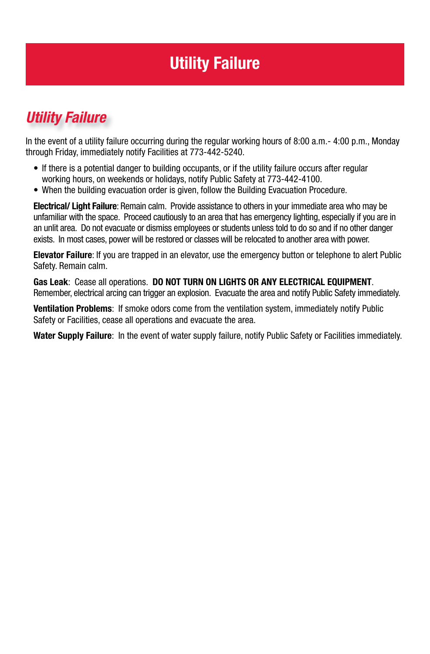# **Utility Failure**

# *Utility Failure*

In the event of a utility failure occurring during the regular working hours of 8:00 a.m.- 4:00 p.m., Monday through Friday, immediately notify Facilities at 773-442-5240.

- If there is a potential danger to building occupants, or if the utility failure occurs after regular working hours, on weekends or holidays, notify Public Safety at 773-442-4100.
- When the building evacuation order is given, follow the Building Evacuation Procedure.

**Electrical/ Light Failure**: Remain calm. Provide assistance to others in your immediate area who may be unfamiliar with the space. Proceed cautiously to an area that has emergency lighting, especially if you are in an unlit area. Do not evacuate or dismiss employees or students unless told to do so and if no other danger exists. In most cases, power will be restored or classes will be relocated to another area with power.

**Elevator Failure**: If you are trapped in an elevator, use the emergency button or telephone to alert Public Safety. Remain calm.

**Gas Leak**: Cease all operations. **DO NOT TURN ON LIGHTS OR ANY ELECTRICAL EQUIPMENT**. Remember, electrical arcing can trigger an explosion. Evacuate the area and notify Public Safety immediately.

**Ventilation Problems**: If smoke odors come from the ventilation system, immediately notify Public Safety or Facilities, cease all operations and evacuate the area.

**Water Supply Failure**: In the event of water supply failure, notify Public Safety or Facilities immediately.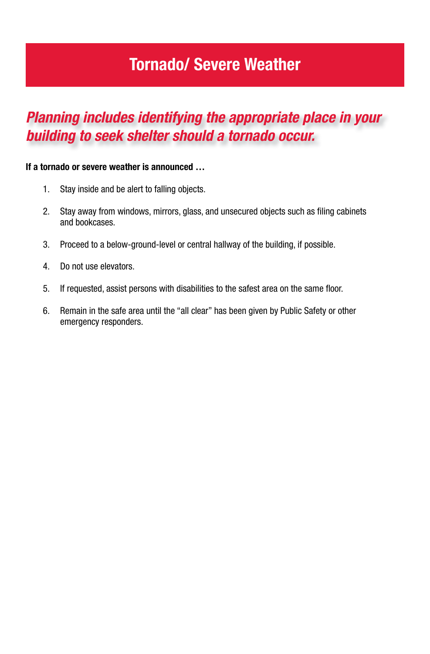# **Tornado/ Severe Weather**

### *Planning includes identifying the appropriate place in your building to seek shelter should a tornado occur.*

#### **If a tornado or severe weather is announced …**

- 1. Stay inside and be alert to falling objects.
- 2. Stay away from windows, mirrors, glass, and unsecured objects such as filing cabinets and bookcases.
- 3. Proceed to a below-ground-level or central hallway of the building, if possible.
- 4. Do not use elevators.
- 5. If requested, assist persons with disabilities to the safest area on the same floor.
- 6. Remain in the safe area until the "all clear" has been given by Public Safety or other emergency responders.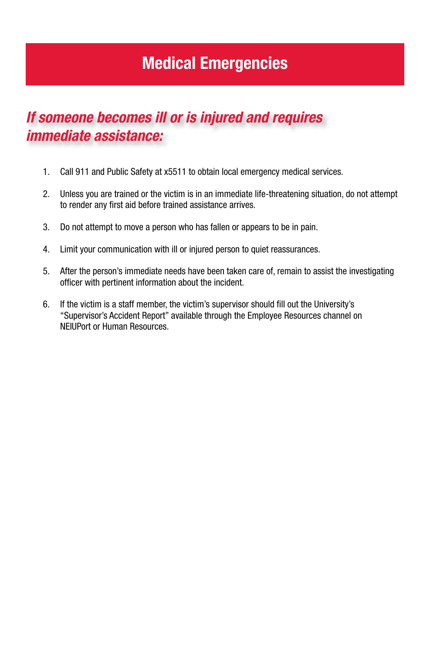# **Medical Emergencies**

### *If someone becomes ill or is injured and requires immediate assistance:*

- 1. Call 911 and Public Safety at x5511 to obtain local emergency medical services.
- 2. Unless you are trained or the victim is in an immediate life-threatening situation, do not attempt to render any first aid before trained assistance arrives.
- 3. Do not attempt to move a person who has fallen or appears to be in pain.
- 4. Limit your communication with ill or injured person to quiet reassurances.
- 5. After the person's immediate needs have been taken care of, remain to assist the investigating officer with pertinent information about the incident.
- 6. If the victim is a staff member, the victim's supervisor should fill out the University's "Supervisor's Accident Report" available through the Employee Resources channel on NEIUPort or Human Resources.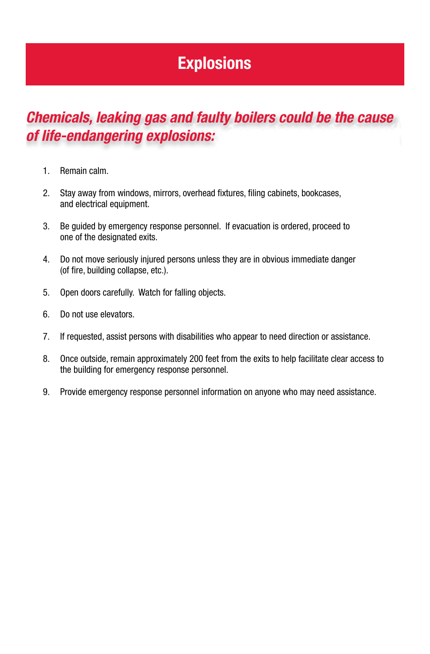# **Explosions**

### *Chemicals, leaking gas and faulty boilers could be the cause of life-endangering explosions:*

- 1. Remain calm.
- 2. Stay away from windows, mirrors, overhead fixtures, filing cabinets, bookcases, and electrical equipment.
- 3. Be guided by emergency response personnel. If evacuation is ordered, proceed to one of the designated exits.
- 4. Do not move seriously injured persons unless they are in obvious immediate danger (of fire, building collapse, etc.).
- 5. Open doors carefully. Watch for falling objects.
- 6. Do not use elevators.
- 7. If requested, assist persons with disabilities who appear to need direction or assistance.
- 8. Once outside, remain approximately 200 feet from the exits to help facilitate clear access to the building for emergency response personnel.
- 9. Provide emergency response personnel information on anyone who may need assistance.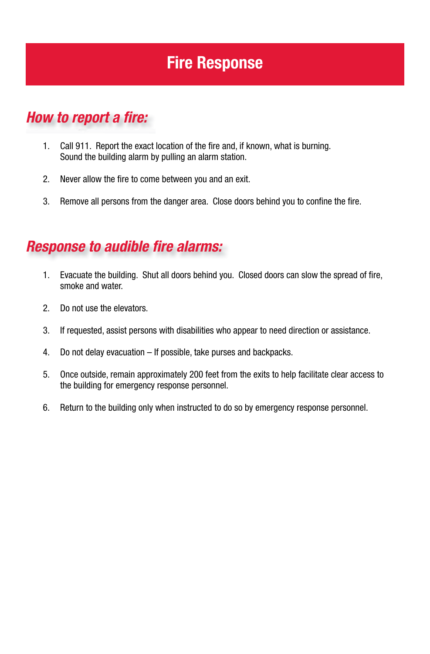# **Fire Response**

### *How to report a fire:*

- 1. Call 911. Report the exact location of the fire and, if known, what is burning. Sound the building alarm by pulling an alarm station.
- 2. Never allow the fire to come between you and an exit.
- 3. Remove all persons from the danger area. Close doors behind you to confine the fire.

### **Response to audible fire alarms:**

- 1. Evacuate the building. Shut all doors behind you. Closed doors can slow the spread of fire, smoke and water.
- 2. Do not use the elevators.
- 3. If requested, assist persons with disabilities who appear to need direction or assistance.
- 4. Do not delay evacuation If possible, take purses and backpacks.
- 5. Once outside, remain approximately 200 feet from the exits to help facilitate clear access to the building for emergency response personnel.
- 6. Return to the building only when instructed to do so by emergency response personnel.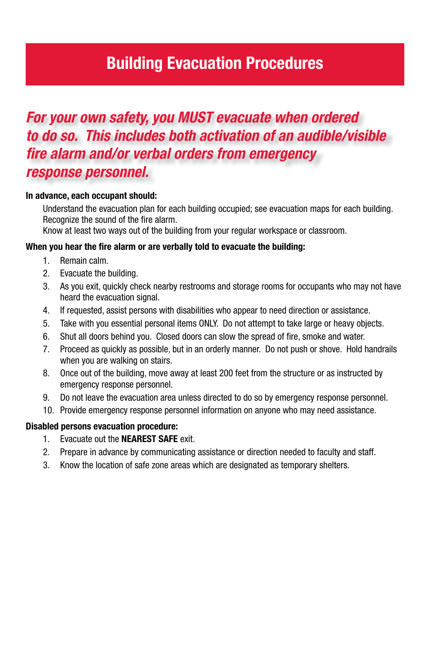# **Building Evacuation Procedures**

### *For your own safety, you MUST evacuate when ordered to do so. This includes both activation of an audible/visible fi re alarm and/or verbal orders from emergency response personnel.*

#### **In advance, each occupant should:**

Understand the evacuation plan for each building occupied; see evacuation maps for each building. Recognize the sound of the fire alarm.

Know at least two ways out of the building from your regular workspace or classroom.

#### When you hear the fire alarm or are verbally told to evacuate the building:

- 1. Remain calm.
- 2. Evacuate the building.
- 3. As you exit, quickly check nearby restrooms and storage rooms for occupants who may not have heard the evacuation signal.
- 4. If requested, assist persons with disabilities who appear to need direction or assistance.
- 5. Take with you essential personal items ONLY. Do not attempt to take large or heavy objects.
- 6. Shut all doors behind you. Closed doors can slow the spread of fire, smoke and water.
- 7. Proceed as quickly as possible, but in an orderly manner. Do not push or shove. Hold handrails when you are walking on stairs.
- 8. Once out of the building, move away at least 200 feet from the structure or as instructed by emergency response personnel.
- 9. Do not leave the evacuation area unless directed to do so by emergency response personnel.
- 10. Provide emergency response personnel information on anyone who may need assistance.

#### **Disabled persons evacuation procedure:**

- 1. Evacuate out the **NEAREST SAFE** exit.
- 2. Prepare in advance by communicating assistance or direction needed to faculty and staff.
- 3. Know the location of safe zone areas which are designated as temporary shelters.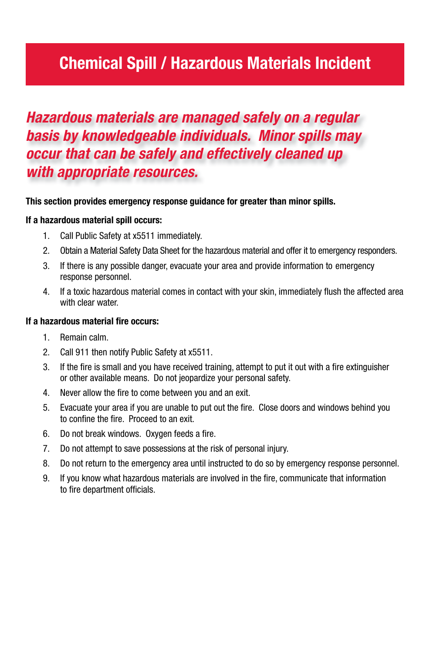# **Chemical Spill / Hazardous Materials Incident**

### *Hazardous materials are managed safely on a regular basis by knowledgeable individuals. Minor spills may occur that can be safely and effectively cleaned up with appropriate resources.*

#### **This section provides emergency response guidance for greater than minor spills.**

#### **If a hazardous material spill occurs:**

- 1. Call Public Safety at x5511 immediately.
- 2. Obtain a Material Safety Data Sheet for the hazardous material and offer it to emergency responders.
- 3. If there is any possible danger, evacuate your area and provide information to emergency response personnel.
- 4. If a toxic hazardous material comes in contact with your skin, immediately flush the affected area with clear water.

#### **If a hazardous material fire occurs:**

- 1. Remain calm.
- 2. Call 911 then notify Public Safety at x5511.
- 3. If the fire is small and you have received training, attempt to put it out with a fire extinguisher or other available means. Do not jeopardize your personal safety.
- 4. Never allow the fire to come between you and an exit.
- 5. Evacuate your area if you are unable to put out the fire. Close doors and windows behind you to confine the fire. Proceed to an exit.
- 6. Do not break windows. Oxygen feeds a fire.
- 7. Do not attempt to save possessions at the risk of personal injury.
- 8. Do not return to the emergency area until instructed to do so by emergency response personnel.
- 9. If you know what hazardous materials are involved in the fire, communicate that information to fire department officials.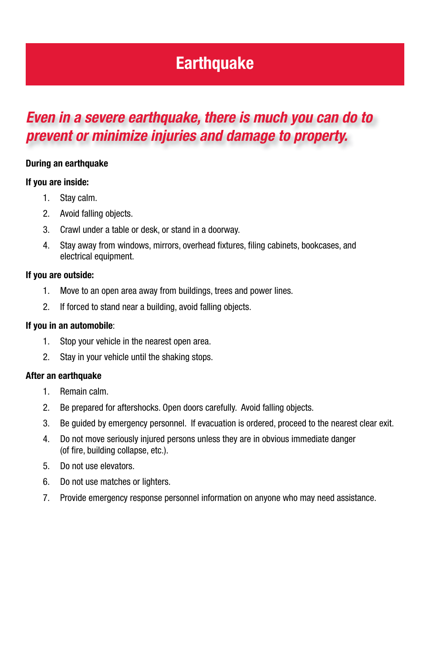# **Earthquake**

### *Even in a severe earthquake, there is much you can do to prevent or minimize injuries and damage to property.*

#### **During an earthquake**

#### **If you are inside:**

- 1. Stay calm.
- 2. Avoid falling objects.
- 3. Crawl under a table or desk, or stand in a doorway.
- 4. Stay away from windows, mirrors, overhead fixtures, filing cabinets, bookcases, and electrical equipment.

#### **If you are outside:**

- 1. Move to an open area away from buildings, trees and power lines.
- 2. If forced to stand near a building, avoid falling objects.

#### **If you in an automobile**:

- 1. Stop your vehicle in the nearest open area.
- 2. Stay in your vehicle until the shaking stops.

#### **After an earthquake**

- 1. Remain calm.
- 2. Be prepared for aftershocks. Open doors carefully. Avoid falling objects.
- 3. Be guided by emergency personnel. If evacuation is ordered, proceed to the nearest clear exit.
- 4. Do not move seriously injured persons unless they are in obvious immediate danger (of fire, building collapse, etc.).
- 5. Do not use elevators.
- 6. Do not use matches or lighters.
- 7. Provide emergency response personnel information on anyone who may need assistance.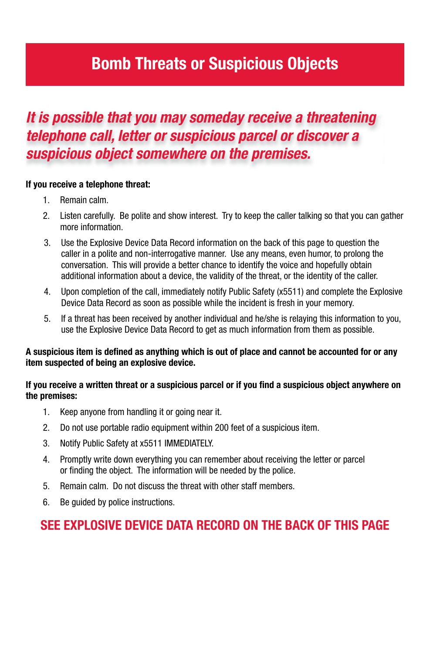# **Bomb Threats or Suspicious Objects**

### *It is possible that you may someday receive a threatening telephone call, letter or suspicious parcel or discover a suspicious object somewhere on the premises.*

#### **If you receive a telephone threat:**

- 1. Remain calm.
- 2. Listen carefully. Be polite and show interest. Try to keep the caller talking so that you can gather more information.
- 3. Use the Explosive Device Data Record information on the back of this page to question the caller in a polite and non-interrogative manner. Use any means, even humor, to prolong the conversation. This will provide a better chance to identify the voice and hopefully obtain additional information about a device, the validity of the threat, or the identity of the caller.
- 4. Upon completion of the call, immediately notify Public Safety (x5511) and complete the Explosive Device Data Record as soon as possible while the incident is fresh in your memory.
- 5. If a threat has been received by another individual and he/she is relaying this information to you, use the Explosive Device Data Record to get as much information from them as possible.

#### A suspicious item is defined as anything which is out of place and cannot be accounted for or any **item suspected of being an explosive device.**

#### If you receive a written threat or a suspicious parcel or if you find a suspicious object anywhere on **the premises:**

- 1. Keep anyone from handling it or going near it.
- 2. Do not use portable radio equipment within 200 feet of a suspicious item.
- 3. Notify Public Safety at x5511 IMMEDIATELY.
- 4. Promptly write down everything you can remember about receiving the letter or parcel or finding the object. The information will be needed by the police.
- 5. Remain calm. Do not discuss the threat with other staff members.
- 6. Be guided by police instructions.

### **SEE EXPLOSIVE DEVICE DATA RECORD ON THE BACK OF THIS PAGE**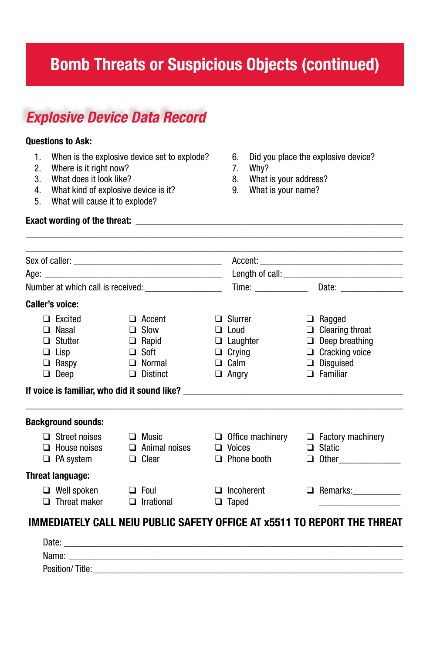# **Bomb Threats or Suspicious Objects (continued)**

### *Explosive Device Data Record*

#### **Questions to Ask:**

- 1. When is the explosive device set to explode? 6. Did you place the explosive device?<br>2. Where is it right now? 7. Why?
- 2. Where is it right now?<br>3. What does it look like?
- 

**Exact wording of the threat:** 

- 4. What kind of explosive device is it? 9. What is your name?
- 5. What will cause it to explode?
- 
- 
- 8. What is your address?
- 

|             | Caller's voice:                                                                  |   |                                                                                                 |  |                                                                                                                                                                                      |  |                                                                                                                                  |
|-------------|----------------------------------------------------------------------------------|---|-------------------------------------------------------------------------------------------------|--|--------------------------------------------------------------------------------------------------------------------------------------------------------------------------------------|--|----------------------------------------------------------------------------------------------------------------------------------|
| $\Box$<br>□ | $\Box$ Excited<br>Nasal<br>Stutter<br>$\Box$ Lisp<br>$\Box$ Raspy<br>$\Box$ Deep | ⊔ | $\Box$ Accent<br>$\Box$ Slow<br>$\Box$ Rapid<br>$\Box$ Soft<br>$\Box$ Normal<br><b>Distinct</b> |  | $\Box$ Slurrer<br>$\Box$ Loud<br>$\Box$ Laughter<br>$\Box$ Crying<br>$\Box$ Calm<br>$\Box$ Angry<br>If voice is familiar, who did it sound like? ___________________________________ |  | $\Box$ Ragged<br>$\Box$ Clearing throat<br>$\Box$ Deep breathing<br>$\Box$ Cracking voice<br>$\Box$ Disguised<br>$\Box$ Familiar |
|             | <b>Background sounds:</b>                                                        |   |                                                                                                 |  |                                                                                                                                                                                      |  |                                                                                                                                  |
|             | $\Box$ Street noises<br>$\Box$ House noises<br>$\Box$ PA system                  |   | $\Box$ Music<br>$\Box$ Animal noises<br>$\Box$ Clear                                            |  | $\Box$ Office machinery $\Box$ Factory machinery<br>$\Box$ Voices<br>$\Box$ Phone booth                                                                                              |  | $\Box$ Static<br>$\Box$ Other                                                                                                    |
|             | <b>Threat language:</b>                                                          |   |                                                                                                 |  |                                                                                                                                                                                      |  |                                                                                                                                  |
| □           | $\Box$ Well spoken<br>Threat maker                                               |   | $\Box$ Foul<br>$\Box$ Irrational                                                                |  | $\Box$ Incoherent<br>$\Box$ Taped                                                                                                                                                    |  | <b>Q</b> Remarks: ____________                                                                                                   |

| Date:              |  |
|--------------------|--|
| Name:              |  |
| Position/<br>utle: |  |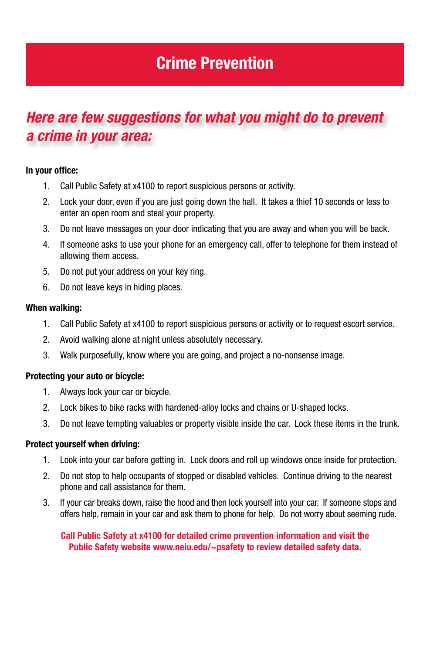# **Crime Prevention**

### *Here are few suggestions for what you might do to prevent a crime in your area:*

#### **In your office:**

- 1. Call Public Safety at x4100 to report suspicious persons or activity.
- 2. Lock your door, even if you are just going down the hall. It takes a thief 10 seconds or less to enter an open room and steal your property.
- 3. Do not leave messages on your door indicating that you are away and when you will be back.
- 4. If someone asks to use your phone for an emergency call, offer to telephone for them instead of allowing them access.
- 5. Do not put your address on your key ring.
- 6. Do not leave keys in hiding places.

#### **When walking:**

- 1. Call Public Safety at x4100 to report suspicious persons or activity or to request escort service.
- 2. Avoid walking alone at night unless absolutely necessary.
- 3. Walk purposefully, know where you are going, and project a no-nonsense image.

#### **Protecting your auto or bicycle:**

- 1. Always lock your car or bicycle.
- 2. Lock bikes to bike racks with hardened-alloy locks and chains or U-shaped locks.
- 3. Do not leave tempting valuables or property visible inside the car. Lock these items in the trunk.

#### **Protect yourself when driving:**

- 1. Look into your car before getting in. Lock doors and roll up windows once inside for protection.
- 2. Do not stop to help occupants of stopped or disabled vehicles. Continue driving to the nearest phone and call assistance for them.
- 3. If your car breaks down, raise the hood and then lock yourself into your car. If someone stops and offers help, remain in your car and ask them to phone for help. Do not worry about seeming rude.

#### **Call Public Safety at x4100 for detailed crime prevention information and visit the Public Safety website www.neiu.edu/~psafety to review detailed safety data.**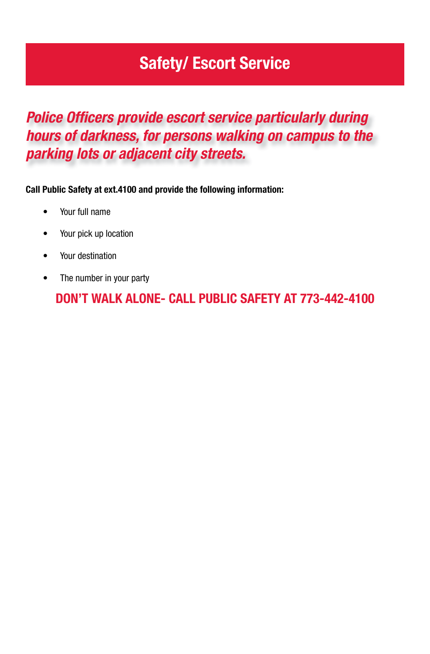# **Safety/ Escort Service**

### **Police Officers provide escort service particularly during** *hours of darkness, for persons walking on campus to the parking lots or adjacent city streets.*

**Call Public Safety at ext.4100 and provide the following information:**

- Your full name
- Your pick up location
- Your destination
- The number in your party

**DON'T WALK ALONE- CALL PUBLIC SAFETY AT 773-442-4100**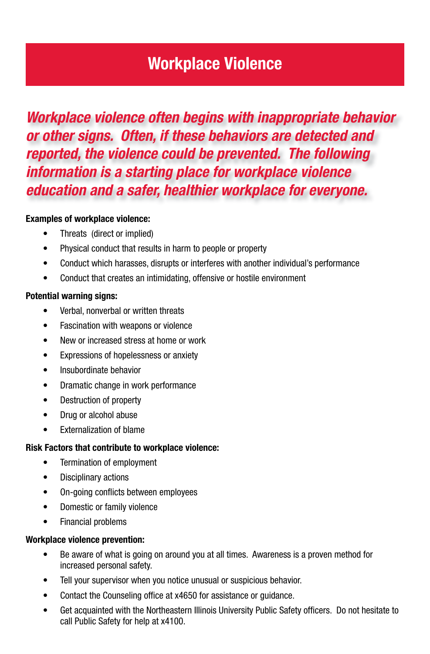### **Workplace Violence**

### *Workplace violence often begins with inappropriate behavior or other signs. Often, if these behaviors are detected and reported, the violence could be prevented. The following information is a starting place for workplace violence education and a safer, healthier workplace for everyone.*

#### **Examples of workplace violence:**

- Threats (direct or implied)
- Physical conduct that results in harm to people or property
- Conduct which harasses, disrupts or interferes with another individual's performance
- Conduct that creates an intimidating, offensive or hostile environment

#### **Potential warning signs:**

- Verbal, nonverbal or written threats
- Fascination with weapons or violence
- New or increased stress at home or work
- Expressions of hopelessness or anxiety
- Insubordinate behavior
- Dramatic change in work performance
- Destruction of property
- Drug or alcohol abuse
- Externalization of blame

#### **Risk Factors that contribute to workplace violence:**

- Termination of employment
- Disciplinary actions
- On-going conflicts between employees
- Domestic or family violence
- Financial problems

#### **Workplace violence prevention:**

- Be aware of what is going on around you at all times. Awareness is a proven method for increased personal safety.
- Tell your supervisor when you notice unusual or suspicious behavior.
- Contact the Counseling office at x4650 for assistance or guidance.
- Get acquainted with the Northeastern Illinois University Public Safety officers. Do not hesitate to call Public Safety for help at x4100.